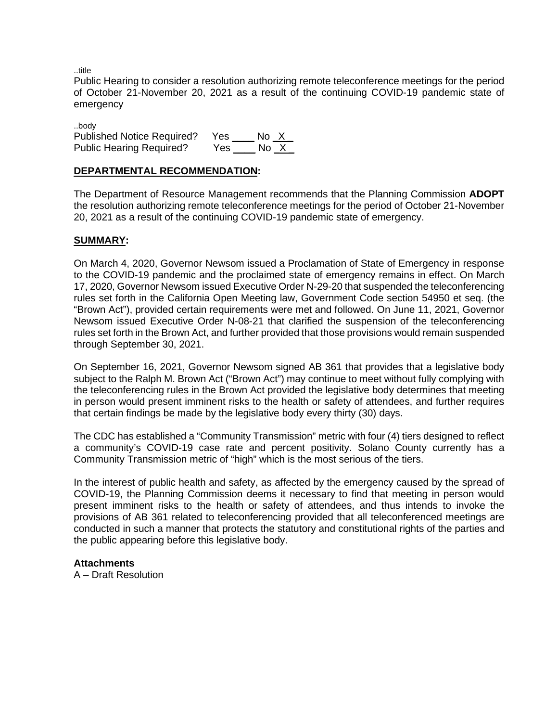..title

Public Hearing to consider a resolution authorizing remote teleconference meetings for the period of October 21-November 20, 2021 as a result of the continuing COVID-19 pandemic state of emergency

..body Published Notice Required? Yes \_\_\_\_ No \_X<br>Public Hearing Required? Yes \_\_\_\_ No \_X\_ Public Hearing Required?

### **DEPARTMENTAL RECOMMENDATION:**

The Department of Resource Management recommends that the Planning Commission **ADOPT**  the resolution authorizing remote teleconference meetings for the period of October 21-November 20, 2021 as a result of the continuing COVID-19 pandemic state of emergency.

### **SUMMARY:**

On March 4, 2020, Governor Newsom issued a Proclamation of State of Emergency in response to the COVID-19 pandemic and the proclaimed state of emergency remains in effect. On March 17, 2020, Governor Newsom issued Executive Order N-29-20 that suspended the teleconferencing rules set forth in the California Open Meeting law, Government Code section 54950 et seq. (the "Brown Act"), provided certain requirements were met and followed. On June 11, 2021, Governor Newsom issued Executive Order N-08-21 that clarified the suspension of the teleconferencing rules set forth in the Brown Act, and further provided that those provisions would remain suspended through September 30, 2021.

On September 16, 2021, Governor Newsom signed AB 361 that provides that a legislative body subject to the Ralph M. Brown Act ("Brown Act") may continue to meet without fully complying with the teleconferencing rules in the Brown Act provided the legislative body determines that meeting in person would present imminent risks to the health or safety of attendees, and further requires that certain findings be made by the legislative body every thirty (30) days.

The CDC has established a "Community Transmission" metric with four (4) tiers designed to reflect a community's COVID-19 case rate and percent positivity. Solano County currently has a Community Transmission metric of "high" which is the most serious of the tiers.

In the interest of public health and safety, as affected by the emergency caused by the spread of COVID-19, the Planning Commission deems it necessary to find that meeting in person would present imminent risks to the health or safety of attendees, and thus intends to invoke the provisions of AB 361 related to teleconferencing provided that all teleconferenced meetings are conducted in such a manner that protects the statutory and constitutional rights of the parties and the public appearing before this legislative body.

### **Attachments**

A – Draft Resolution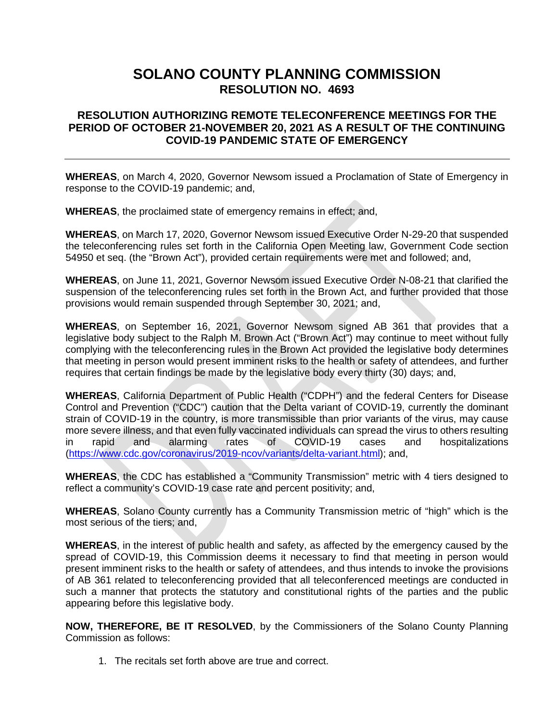# **SOLANO COUNTY PLANNING COMMISSION RESOLUTION NO. 4693**

## **RESOLUTION AUTHORIZING REMOTE TELECONFERENCE MEETINGS FOR THE PERIOD OF OCTOBER 21-NOVEMBER 20, 2021 AS A RESULT OF THE CONTINUING COVID-19 PANDEMIC STATE OF EMERGENCY**

**WHEREAS**, on March 4, 2020, Governor Newsom issued a Proclamation of State of Emergency in response to the COVID-19 pandemic; and,

**WHEREAS**, the proclaimed state of emergency remains in effect; and,

**WHEREAS**, on March 17, 2020, Governor Newsom issued Executive Order N-29-20 that suspended the teleconferencing rules set forth in the California Open Meeting law, Government Code section 54950 et seq. (the "Brown Act"), provided certain requirements were met and followed; and,

**WHEREAS**, on June 11, 2021, Governor Newsom issued Executive Order N-08-21 that clarified the suspension of the teleconferencing rules set forth in the Brown Act, and further provided that those provisions would remain suspended through September 30, 2021; and,

**WHEREAS**, on September 16, 2021, Governor Newsom signed AB 361 that provides that a legislative body subject to the Ralph M. Brown Act ("Brown Act") may continue to meet without fully complying with the teleconferencing rules in the Brown Act provided the legislative body determines that meeting in person would present imminent risks to the health or safety of attendees, and further requires that certain findings be made by the legislative body every thirty (30) days; and,

**WHEREAS**, California Department of Public Health ("CDPH") and the federal Centers for Disease Control and Prevention ("CDC") caution that the Delta variant of COVID-19, currently the dominant strain of COVID-19 in the country, is more transmissible than prior variants of the virus, may cause more severe illness, and that even fully vaccinated individuals can spread the virus to others resulting in rapid and alarming rates of COVID-19 cases and hospitalizations [\(https://www.cdc.gov/coronavirus/2019-ncov/variants/delta-variant.html\)](https://www.cdc.gov/coronavirus/2019-ncov/variants/delta-variant.html); and,

**WHEREAS**, the CDC has established a "Community Transmission" metric with 4 tiers designed to reflect a community's COVID-19 case rate and percent positivity; and,

**WHEREAS**, Solano County currently has a Community Transmission metric of "high" which is the most serious of the tiers; and,

**WHEREAS**, in the interest of public health and safety, as affected by the emergency caused by the spread of COVID-19, this Commission deems it necessary to find that meeting in person would present imminent risks to the health or safety of attendees, and thus intends to invoke the provisions of AB 361 related to teleconferencing provided that all teleconferenced meetings are conducted in such a manner that protects the statutory and constitutional rights of the parties and the public appearing before this legislative body.

**NOW, THEREFORE, BE IT RESOLVED**, by the Commissioners of the Solano County Planning Commission as follows:

1. The recitals set forth above are true and correct.